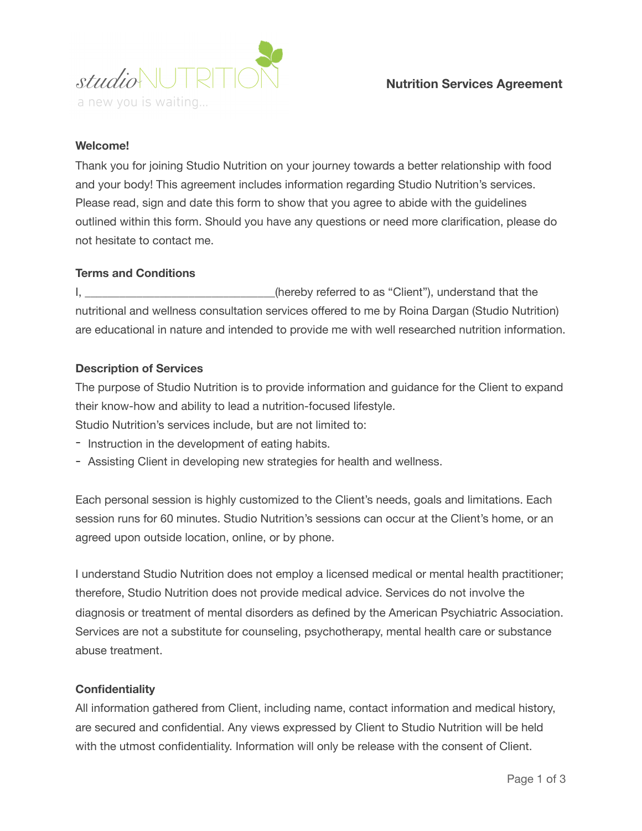

# **Welcome!**

Thank you for joining Studio Nutrition on your journey towards a better relationship with food and your body! This agreement includes information regarding Studio Nutrition's services. Please read, sign and date this form to show that you agree to abide with the guidelines outlined within this form. Should you have any questions or need more clarification, please do not hesitate to contact me.

## **Terms and Conditions**

I, \_\_\_\_\_\_\_\_\_\_\_\_\_\_\_\_\_\_\_\_\_\_\_\_\_\_\_\_\_\_\_(hereby referred to as "Client"), understand that the nutritional and wellness consultation services offered to me by Roina Dargan (Studio Nutrition) are educational in nature and intended to provide me with well researched nutrition information.

## **Description of Services**

The purpose of Studio Nutrition is to provide information and guidance for the Client to expand their know-how and ability to lead a nutrition-focused lifestyle. Studio Nutrition's services include, but are not limited to:

- Instruction in the development of eating habits.
- Assisting Client in developing new strategies for health and wellness.

Each personal session is highly customized to the Client's needs, goals and limitations. Each session runs for 60 minutes. Studio Nutrition's sessions can occur at the Client's home, or an agreed upon outside location, online, or by phone.

I understand Studio Nutrition does not employ a licensed medical or mental health practitioner; therefore, Studio Nutrition does not provide medical advice. Services do not involve the diagnosis or treatment of mental disorders as defined by the American Psychiatric Association. Services are not a substitute for counseling, psychotherapy, mental health care or substance abuse treatment.

## **Confidentiality**

All information gathered from Client, including name, contact information and medical history, are secured and confidential. Any views expressed by Client to Studio Nutrition will be held with the utmost confidentiality. Information will only be release with the consent of Client.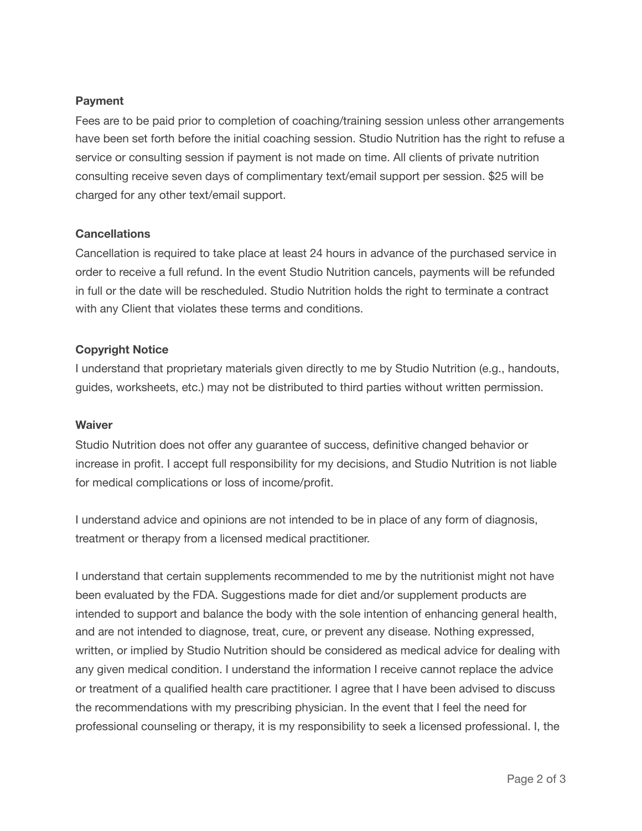## **Payment**

Fees are to be paid prior to completion of coaching/training session unless other arrangements have been set forth before the initial coaching session. Studio Nutrition has the right to refuse a service or consulting session if payment is not made on time. All clients of private nutrition consulting receive seven days of complimentary text/email support per session. \$25 will be charged for any other text/email support.

### **Cancellations**

Cancellation is required to take place at least 24 hours in advance of the purchased service in order to receive a full refund. In the event Studio Nutrition cancels, payments will be refunded in full or the date will be rescheduled. Studio Nutrition holds the right to terminate a contract with any Client that violates these terms and conditions.

## **Copyright Notice**

I understand that proprietary materials given directly to me by Studio Nutrition (e.g., handouts, guides, worksheets, etc.) may not be distributed to third parties without written permission.

#### **Waiver**

Studio Nutrition does not offer any guarantee of success, definitive changed behavior or increase in profit. I accept full responsibility for my decisions, and Studio Nutrition is not liable for medical complications or loss of income/profit.

I understand advice and opinions are not intended to be in place of any form of diagnosis, treatment or therapy from a licensed medical practitioner.

I understand that certain supplements recommended to me by the nutritionist might not have been evaluated by the FDA. Suggestions made for diet and/or supplement products are intended to support and balance the body with the sole intention of enhancing general health, and are not intended to diagnose, treat, cure, or prevent any disease. Nothing expressed, written, or implied by Studio Nutrition should be considered as medical advice for dealing with any given medical condition. I understand the information I receive cannot replace the advice or treatment of a qualified health care practitioner. I agree that I have been advised to discuss the recommendations with my prescribing physician. In the event that I feel the need for professional counseling or therapy, it is my responsibility to seek a licensed professional. I, the